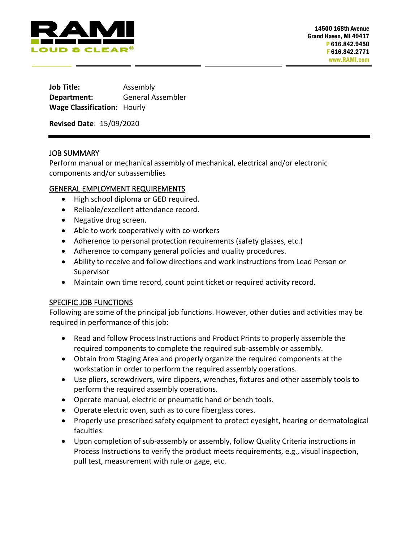

**Job Title:** Assembly **Department:** General Assembler **Wage Classification:** Hourly

**Revised Date**: 15/09/2020

## JOB SUMMARY

Perform manual or mechanical assembly of mechanical, electrical and/or electronic components and/or subassemblies

## GENERAL EMPLOYMENT REQUIREMENTS

- High school diploma or GED required.
- Reliable/excellent attendance record.
- Negative drug screen.
- Able to work cooperatively with co-workers
- Adherence to personal protection requirements (safety glasses, etc.)
- Adherence to company general policies and quality procedures.
- Ability to receive and follow directions and work instructions from Lead Person or Supervisor
- Maintain own time record, count point ticket or required activity record.

## SPECIFIC JOB FUNCTIONS

Following are some of the principal job functions. However, other duties and activities may be required in performance of this job:

- Read and follow Process Instructions and Product Prints to properly assemble the required components to complete the required sub-assembly or assembly.
- Obtain from Staging Area and properly organize the required components at the workstation in order to perform the required assembly operations.
- Use pliers, screwdrivers, wire clippers, wrenches, fixtures and other assembly tools to perform the required assembly operations.
- Operate manual, electric or pneumatic hand or bench tools.
- Operate electric oven, such as to cure fiberglass cores.
- Properly use prescribed safety equipment to protect eyesight, hearing or dermatological faculties.
- Upon completion of sub-assembly or assembly, follow Quality Criteria instructions in Process Instructions to verify the product meets requirements, e.g., visual inspection, pull test, measurement with rule or gage, etc.